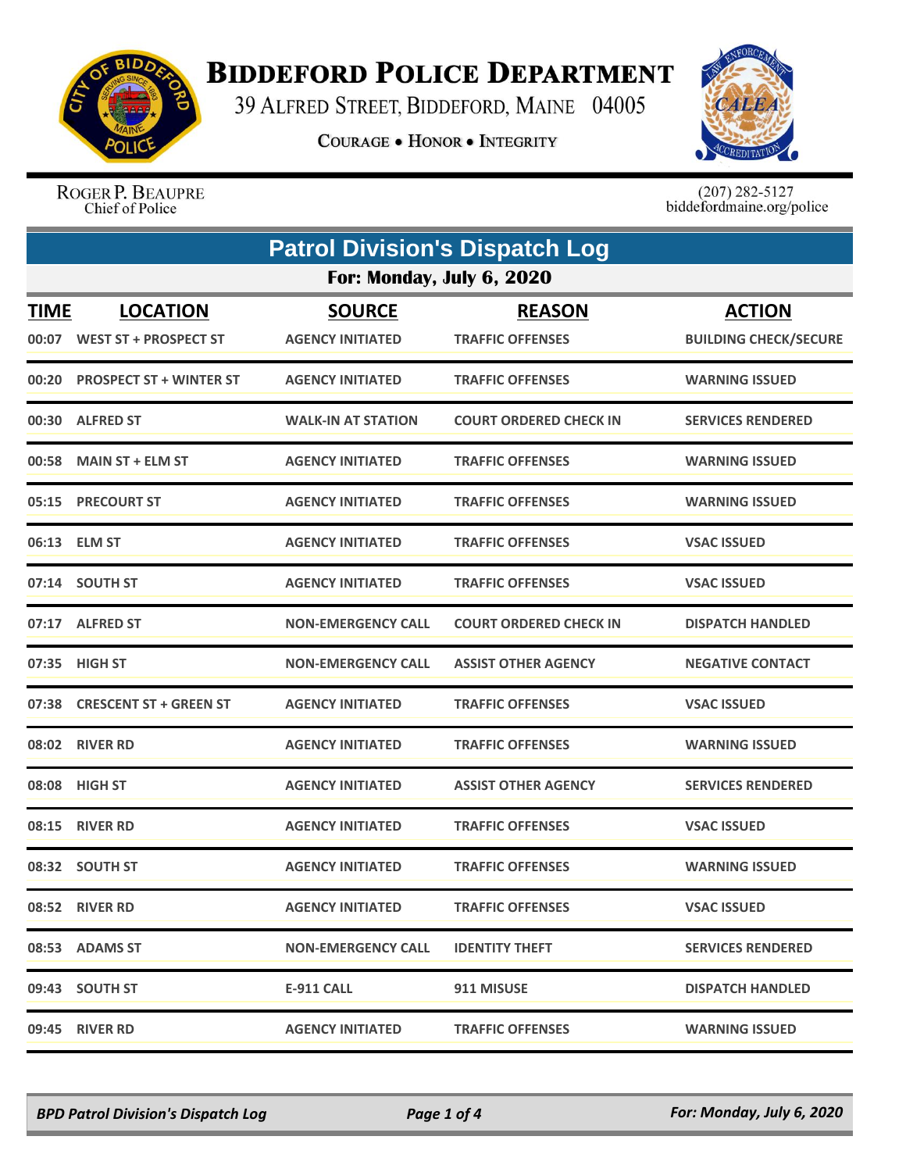

## **BIDDEFORD POLICE DEPARTMENT**

39 ALFRED STREET, BIDDEFORD, MAINE 04005

**COURAGE . HONOR . INTEGRITY** 



ROGER P. BEAUPRE Chief of Police

 $(207)$  282-5127<br>biddefordmaine.org/police

|                      | <b>Patrol Division's Dispatch Log</b>           |                                          |                                          |                                               |  |
|----------------------|-------------------------------------------------|------------------------------------------|------------------------------------------|-----------------------------------------------|--|
|                      | For: Monday, July 6, 2020                       |                                          |                                          |                                               |  |
| <b>TIME</b><br>00:07 | <b>LOCATION</b><br><b>WEST ST + PROSPECT ST</b> | <b>SOURCE</b><br><b>AGENCY INITIATED</b> | <b>REASON</b><br><b>TRAFFIC OFFENSES</b> | <b>ACTION</b><br><b>BUILDING CHECK/SECURE</b> |  |
| 00:20                | <b>PROSPECT ST + WINTER ST</b>                  | <b>AGENCY INITIATED</b>                  | <b>TRAFFIC OFFENSES</b>                  | <b>WARNING ISSUED</b>                         |  |
|                      | 00:30 ALFRED ST                                 | <b>WALK-IN AT STATION</b>                | <b>COURT ORDERED CHECK IN</b>            | <b>SERVICES RENDERED</b>                      |  |
|                      | 00:58 MAIN ST + ELM ST                          | <b>AGENCY INITIATED</b>                  | <b>TRAFFIC OFFENSES</b>                  | <b>WARNING ISSUED</b>                         |  |
|                      | 05:15 PRECOURT ST                               | <b>AGENCY INITIATED</b>                  | <b>TRAFFIC OFFENSES</b>                  | <b>WARNING ISSUED</b>                         |  |
|                      | 06:13 ELM ST                                    | <b>AGENCY INITIATED</b>                  | <b>TRAFFIC OFFENSES</b>                  | <b>VSAC ISSUED</b>                            |  |
|                      | 07:14 SOUTH ST                                  | <b>AGENCY INITIATED</b>                  | <b>TRAFFIC OFFENSES</b>                  | <b>VSAC ISSUED</b>                            |  |
|                      | 07:17 ALFRED ST                                 | <b>NON-EMERGENCY CALL</b>                | <b>COURT ORDERED CHECK IN</b>            | <b>DISPATCH HANDLED</b>                       |  |
|                      | 07:35 HIGH ST                                   | <b>NON-EMERGENCY CALL</b>                | <b>ASSIST OTHER AGENCY</b>               | <b>NEGATIVE CONTACT</b>                       |  |
|                      | 07:38 CRESCENT ST + GREEN ST                    | <b>AGENCY INITIATED</b>                  | <b>TRAFFIC OFFENSES</b>                  | <b>VSAC ISSUED</b>                            |  |
|                      | 08:02 RIVER RD                                  | <b>AGENCY INITIATED</b>                  | <b>TRAFFIC OFFENSES</b>                  | <b>WARNING ISSUED</b>                         |  |
|                      | 08:08 HIGH ST                                   | <b>AGENCY INITIATED</b>                  | <b>ASSIST OTHER AGENCY</b>               | <b>SERVICES RENDERED</b>                      |  |
|                      | 08:15 RIVER RD                                  | <b>AGENCY INITIATED</b>                  | <b>TRAFFIC OFFENSES</b>                  | <b>VSAC ISSUED</b>                            |  |
|                      | 08:32 SOUTH ST                                  | <b>AGENCY INITIATED</b>                  | <b>TRAFFIC OFFENSES</b>                  | <b>WARNING ISSUED</b>                         |  |
|                      | 08:52 RIVER RD                                  | <b>AGENCY INITIATED</b>                  | <b>TRAFFIC OFFENSES</b>                  | <b>VSAC ISSUED</b>                            |  |
|                      | 08:53 ADAMS ST                                  | <b>NON-EMERGENCY CALL</b>                | <b>IDENTITY THEFT</b>                    | <b>SERVICES RENDERED</b>                      |  |
|                      | 09:43 SOUTH ST                                  | <b>E-911 CALL</b>                        | 911 MISUSE                               | <b>DISPATCH HANDLED</b>                       |  |
|                      | 09:45 RIVER RD                                  | <b>AGENCY INITIATED</b>                  | <b>TRAFFIC OFFENSES</b>                  | <b>WARNING ISSUED</b>                         |  |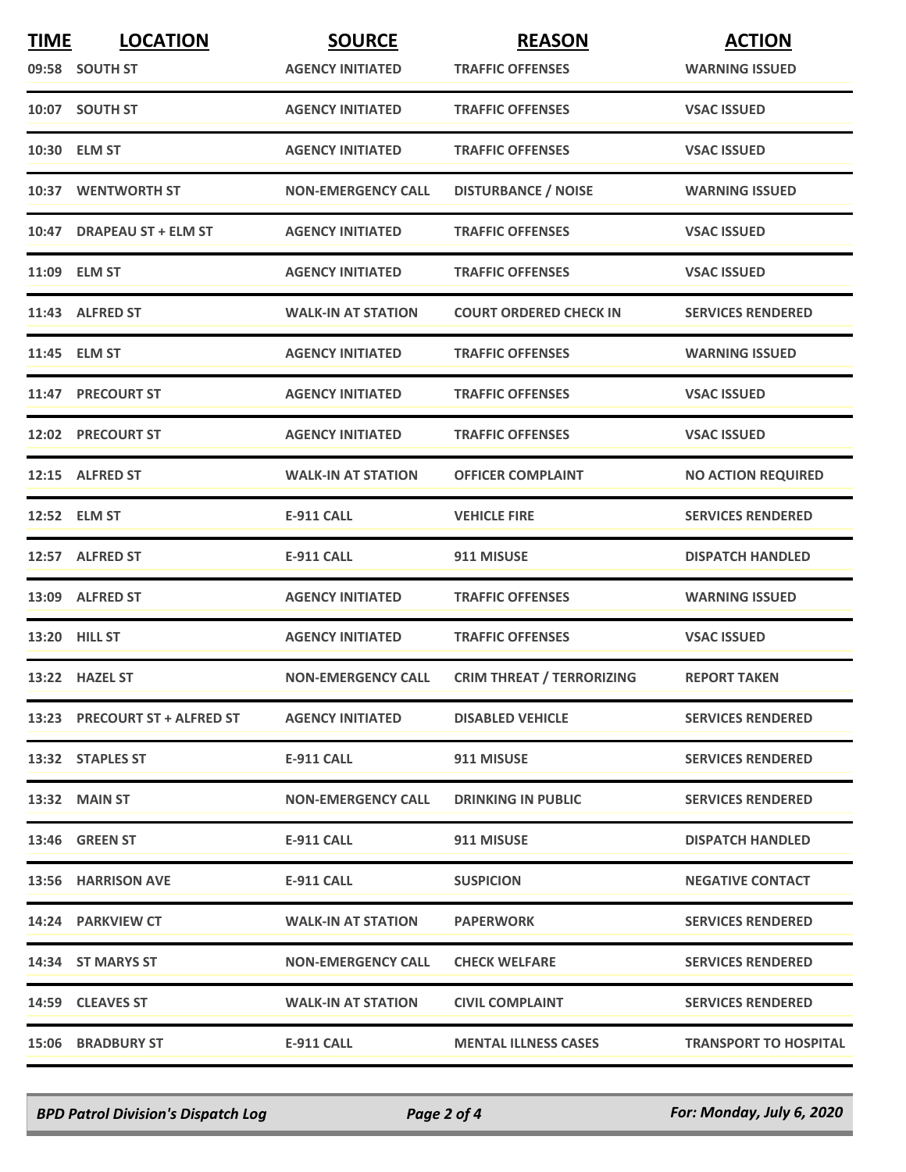| <b>TIME</b> | <b>LOCATION</b>               | <b>SOURCE</b>             | <b>REASON</b>                    | <b>ACTION</b>                |
|-------------|-------------------------------|---------------------------|----------------------------------|------------------------------|
|             | 09:58 SOUTH ST                | <b>AGENCY INITIATED</b>   | <b>TRAFFIC OFFENSES</b>          | <b>WARNING ISSUED</b>        |
|             | 10:07 SOUTH ST                | <b>AGENCY INITIATED</b>   | <b>TRAFFIC OFFENSES</b>          | <b>VSAC ISSUED</b>           |
|             | 10:30 ELM ST                  | <b>AGENCY INITIATED</b>   | <b>TRAFFIC OFFENSES</b>          | <b>VSAC ISSUED</b>           |
|             | 10:37 WENTWORTH ST            | <b>NON-EMERGENCY CALL</b> | <b>DISTURBANCE / NOISE</b>       | <b>WARNING ISSUED</b>        |
|             | 10:47 DRAPEAU ST + ELM ST     | <b>AGENCY INITIATED</b>   | <b>TRAFFIC OFFENSES</b>          | <b>VSAC ISSUED</b>           |
|             | 11:09 ELM ST                  | <b>AGENCY INITIATED</b>   | <b>TRAFFIC OFFENSES</b>          | <b>VSAC ISSUED</b>           |
|             | 11:43 ALFRED ST               | <b>WALK-IN AT STATION</b> | <b>COURT ORDERED CHECK IN</b>    | <b>SERVICES RENDERED</b>     |
|             | 11:45 ELM ST                  | <b>AGENCY INITIATED</b>   | <b>TRAFFIC OFFENSES</b>          | <b>WARNING ISSUED</b>        |
|             | 11:47 PRECOURT ST             | <b>AGENCY INITIATED</b>   | <b>TRAFFIC OFFENSES</b>          | <b>VSAC ISSUED</b>           |
|             | 12:02 PRECOURT ST             | <b>AGENCY INITIATED</b>   | <b>TRAFFIC OFFENSES</b>          | <b>VSAC ISSUED</b>           |
|             | 12:15 ALFRED ST               | <b>WALK-IN AT STATION</b> | <b>OFFICER COMPLAINT</b>         | <b>NO ACTION REQUIRED</b>    |
|             | 12:52 ELM ST                  | <b>E-911 CALL</b>         | <b>VEHICLE FIRE</b>              | <b>SERVICES RENDERED</b>     |
|             | 12:57 ALFRED ST               | <b>E-911 CALL</b>         | 911 MISUSE                       | <b>DISPATCH HANDLED</b>      |
|             | 13:09 ALFRED ST               | <b>AGENCY INITIATED</b>   | <b>TRAFFIC OFFENSES</b>          | <b>WARNING ISSUED</b>        |
|             | 13:20 HILL ST                 | <b>AGENCY INITIATED</b>   | <b>TRAFFIC OFFENSES</b>          | <b>VSAC ISSUED</b>           |
|             | 13:22 HAZEL ST                | <b>NON-EMERGENCY CALL</b> | <b>CRIM THREAT / TERRORIZING</b> | <b>REPORT TAKEN</b>          |
|             | 13:23 PRECOURT ST + ALFRED ST | <b>AGENCY INITIATED</b>   | <b>DISABLED VEHICLE</b>          | <b>SERVICES RENDERED</b>     |
|             | 13:32 STAPLES ST              | E-911 CALL                | 911 MISUSE                       | <b>SERVICES RENDERED</b>     |
|             | 13:32 MAIN ST                 | <b>NON-EMERGENCY CALL</b> | <b>DRINKING IN PUBLIC</b>        | <b>SERVICES RENDERED</b>     |
|             | <b>13:46 GREEN ST</b>         | E-911 CALL                | 911 MISUSE                       | <b>DISPATCH HANDLED</b>      |
|             | 13:56 HARRISON AVE            | E-911 CALL                | <b>SUSPICION</b>                 | <b>NEGATIVE CONTACT</b>      |
|             | 14:24 PARKVIEW CT             | <b>WALK-IN AT STATION</b> | <b>PAPERWORK</b>                 | <b>SERVICES RENDERED</b>     |
|             | 14:34 ST MARYS ST             | <b>NON-EMERGENCY CALL</b> | <b>CHECK WELFARE</b>             | <b>SERVICES RENDERED</b>     |
|             | 14:59 CLEAVES ST              | <b>WALK-IN AT STATION</b> | <b>CIVIL COMPLAINT</b>           | <b>SERVICES RENDERED</b>     |
|             | <b>15:06 BRADBURY ST</b>      | <b>E-911 CALL</b>         | <b>MENTAL ILLNESS CASES</b>      | <b>TRANSPORT TO HOSPITAL</b> |

*BPD Patrol Division's Dispatch Log Page 2 of 4 For: Monday, July 6, 2020*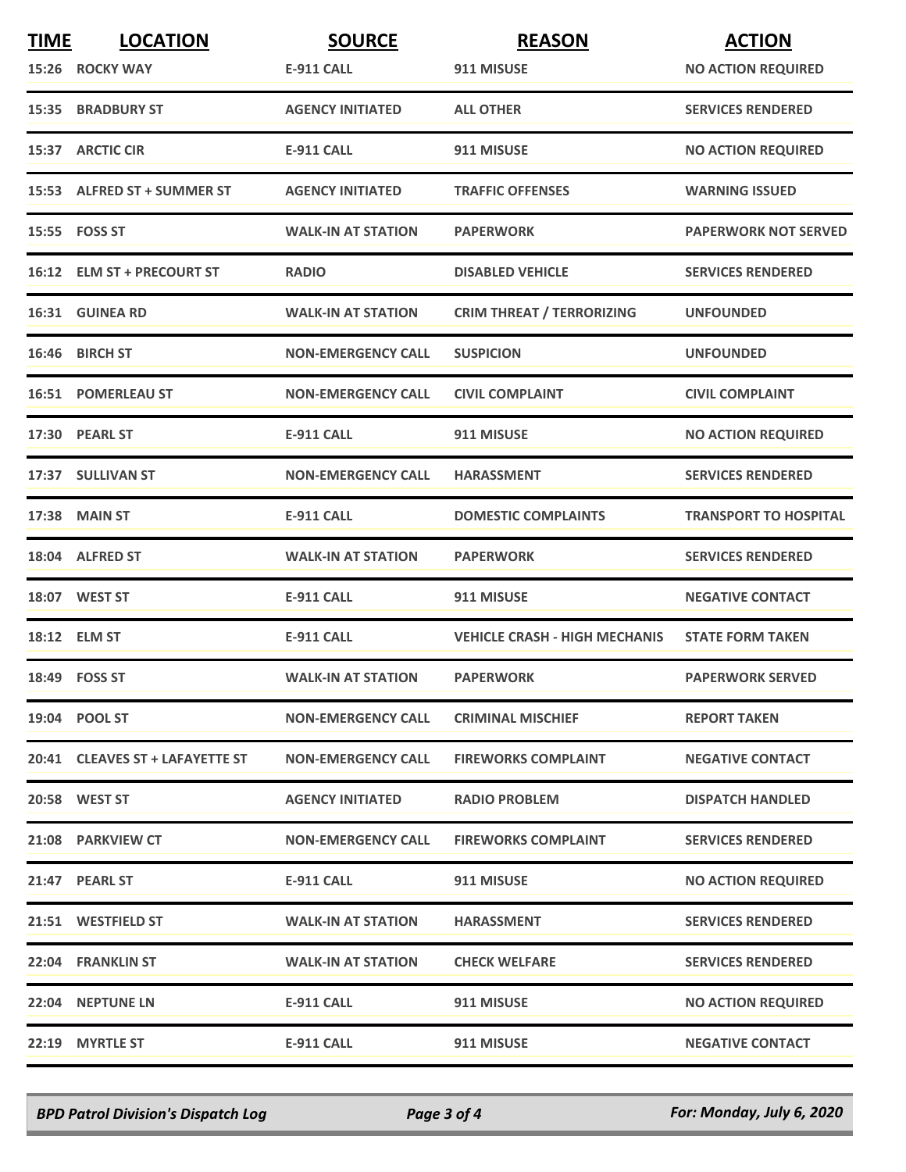| <b>TIME</b> | <b>LOCATION</b>                 | <b>SOURCE</b>             | <b>REASON</b>                        | <b>ACTION</b>                |
|-------------|---------------------------------|---------------------------|--------------------------------------|------------------------------|
|             | 15:26 ROCKY WAY                 | E-911 CALL                | 911 MISUSE                           | <b>NO ACTION REQUIRED</b>    |
|             | <b>15:35 BRADBURY ST</b>        | <b>AGENCY INITIATED</b>   | <b>ALL OTHER</b>                     | <b>SERVICES RENDERED</b>     |
|             | 15:37 ARCTIC CIR                | <b>E-911 CALL</b>         | 911 MISUSE                           | <b>NO ACTION REQUIRED</b>    |
|             | 15:53 ALFRED ST + SUMMER ST     | <b>AGENCY INITIATED</b>   | <b>TRAFFIC OFFENSES</b>              | <b>WARNING ISSUED</b>        |
|             | 15:55    FOSS ST                | <b>WALK-IN AT STATION</b> | <b>PAPERWORK</b>                     | <b>PAPERWORK NOT SERVED</b>  |
|             | 16:12 ELM ST + PRECOURT ST      | <b>RADIO</b>              | <b>DISABLED VEHICLE</b>              | <b>SERVICES RENDERED</b>     |
|             | 16:31 GUINEA RD                 | <b>WALK-IN AT STATION</b> | <b>CRIM THREAT / TERRORIZING</b>     | <b>UNFOUNDED</b>             |
|             | 16:46 BIRCH ST                  | <b>NON-EMERGENCY CALL</b> | <b>SUSPICION</b>                     | <b>UNFOUNDED</b>             |
|             | <b>16:51 POMERLEAU ST</b>       | <b>NON-EMERGENCY CALL</b> | <b>CIVIL COMPLAINT</b>               | <b>CIVIL COMPLAINT</b>       |
|             | 17:30 PEARL ST                  | <b>E-911 CALL</b>         | 911 MISUSE                           | <b>NO ACTION REQUIRED</b>    |
|             | 17:37 SULLIVAN ST               | <b>NON-EMERGENCY CALL</b> | <b>HARASSMENT</b>                    | <b>SERVICES RENDERED</b>     |
|             | 17:38 MAIN ST                   | <b>E-911 CALL</b>         | <b>DOMESTIC COMPLAINTS</b>           | <b>TRANSPORT TO HOSPITAL</b> |
|             | 18:04 ALFRED ST                 | <b>WALK-IN AT STATION</b> | <b>PAPERWORK</b>                     | <b>SERVICES RENDERED</b>     |
|             | 18:07 WEST ST                   | <b>E-911 CALL</b>         | 911 MISUSE                           | <b>NEGATIVE CONTACT</b>      |
|             | 18:12 ELM ST                    | <b>E-911 CALL</b>         | <b>VEHICLE CRASH - HIGH MECHANIS</b> | <b>STATE FORM TAKEN</b>      |
|             | 18:49    FOSS ST                | <b>WALK-IN AT STATION</b> | <b>PAPERWORK</b>                     | <b>PAPERWORK SERVED</b>      |
|             | 19:04 POOL ST                   | <b>NON-EMERGENCY CALL</b> | <b>CRIMINAL MISCHIEF</b>             | <b>REPORT TAKEN</b>          |
|             | 20:41 CLEAVES ST + LAFAYETTE ST | <b>NON-EMERGENCY CALL</b> | <b>FIREWORKS COMPLAINT</b>           | <b>NEGATIVE CONTACT</b>      |
|             | 20:58 WEST ST                   | <b>AGENCY INITIATED</b>   | <b>RADIO PROBLEM</b>                 | <b>DISPATCH HANDLED</b>      |
|             | 21:08 PARKVIEW CT               | <b>NON-EMERGENCY CALL</b> | <b>FIREWORKS COMPLAINT</b>           | <b>SERVICES RENDERED</b>     |
|             | 21:47 PEARL ST                  | E-911 CALL                | 911 MISUSE                           | <b>NO ACTION REQUIRED</b>    |
|             | 21:51 WESTFIELD ST              | <b>WALK-IN AT STATION</b> | <b>HARASSMENT</b>                    | <b>SERVICES RENDERED</b>     |
|             | 22:04 FRANKLIN ST               | <b>WALK-IN AT STATION</b> | <b>CHECK WELFARE</b>                 | <b>SERVICES RENDERED</b>     |
|             | 22:04 NEPTUNE LN                | <b>E-911 CALL</b>         | 911 MISUSE                           | <b>NO ACTION REQUIRED</b>    |
|             | 22:19 MYRTLE ST                 | <b>E-911 CALL</b>         | 911 MISUSE                           | <b>NEGATIVE CONTACT</b>      |

*BPD Patrol Division's Dispatch Log Page 3 of 4 For: Monday, July 6, 2020*